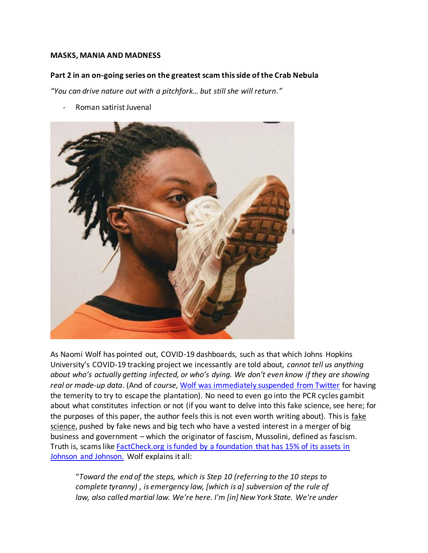#### **MASKS, MANIA AND MADNESS**

### **Part 2 in an on-going series on the greatest scam this side of the Crab Nebula**

*"You can drive nature out with a pitchfork… but still she will return."*

*-* Roman satirist Juvenal



As Naomi Wolf has pointed out, COVID-19 dashboards, such as that which Johns Hopkins University's COVID-19 tracking project we incessantly are told about, *cannot tell us anything about who's actually getting infected, or who's dying. We don't even know if they are showing real or made-up data*. (And of *course,* [Wolf was immediately suspended from Twitter](https://news.yahoo.com/covid-twitter-suspends-naomi-wolf-075418392.html) for having the temerity to try to escape the plantation). No need to even go into the PCR cycles gambit about what constitutes infection or not (if you want to delve into this fake science, see here; for the purposes of this paper, the author feels this is not even worth writing about). This is fake science, pushed by fake news and big tech who have a vested interest in a merger of big business and government – which the originator of fascism, Mussolini, defined as fascism. Truth is, scams lik[e FactCheck.org is funded by a foundation that has 15% of its assets in](https://bigleaguepolitics.com/factcheck-orgs-covid-19-project-is-funded-by-foundation-that-has-15-percent-of-its-assets-in-johnson-and-johnson-stock/)  [Johnson and Johnson.](https://bigleaguepolitics.com/factcheck-orgs-covid-19-project-is-funded-by-foundation-that-has-15-percent-of-its-assets-in-johnson-and-johnson-stock/) Wolf explains it all:

"*Toward the end of the steps, which is Step 10 (referring to the 10 steps to complete tyranny) , is emergency law, [which is a] subversion of the rule of law, also called martial law. We're here. I'm [in] New York State. We're under*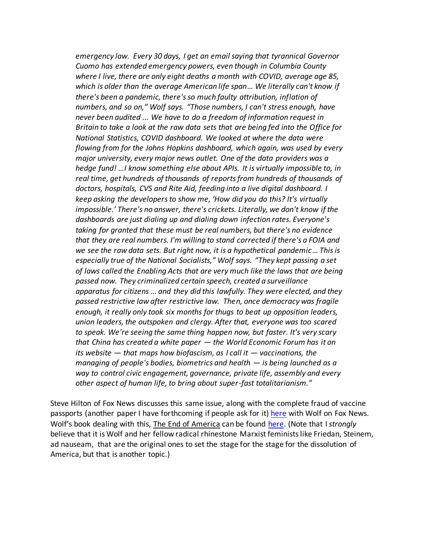*emergency law. Every 30 days, I get an email saying that tyrannical Governor Cuomo has extended emergency powers, even though in Columbia County where I live, there are only eight deaths a month with COVID, average age 85, which is older than the average American life span*… *We literally can't know if there's been a pandemic, there's so much faulty attribution, inflation of numbers, and so on," Wolf says. "Those numbers, I can't stress enough, have never been audited ... We have to do a freedom of information request in Britain to take a look at the raw data sets that are being fed into the Office for National Statistics, COVID dashboard. We looked at where the data were flowing from for the Johns Hopkins dashboard, which again, was used by every major university, every major news outlet. One of the data providers was a hedge fund! …I know something else about APIs. It is virtually impossible to, in*  real time, get hundreds of thousands of reports from hundreds of thousands of *doctors, hospitals, CVS and Rite Aid, feeding into a live digital dashboard. I keep asking the developers to show me, 'How did you do this? It's virtually impossible.' There's no answer, there's crickets. Literally, we don't know if the dashboards are just dialing up and dialing down infection rates. Everyone's taking for granted that these must be real numbers, but there's no evidence that they are real numbers. I'm willing to stand corrected if there's a FOIA and we see the raw data sets. But right now, it is a hypothetical pandemic*… *This is especially true of the National Socialists," Wolf says. "They kept passing a set of laws called the Enabling Acts that are very much like the laws that are being passed now. They criminalized certain speech, created a surveillance apparatus for citizens … and they did this lawfully. They were elected, and they passed restrictive law after restrictive law. Then, once democracy was fragile enough, it really only took six months for thugs to beat up opposition leaders, union leaders, the outspoken and clergy. After that, everyone was too scared to speak. We're seeing the same thing happen now, but faster. It's very scary that China has created a white paper — the World Economic Forum has it on its website — that maps how biofascism, as I call it — vaccinations, the managing of people's bodies, biometrics and health — is being launched as a way to control civic engagement, governance, private life, assembly and every other aspect of human life, to bring about super-fast totalitarianism."*

Steve Hilton of Fox News discusses this same issue, along with the complete fraud of vaccine passports (another paper I have forthcoming if people ask for it) [here](https://articles.mercola.com/sites/articles/archive/2021/04/25/naomi-wolf-the-end-of-america.aspx?ui=85e25c30771774a6eb5c52638ffecb6adfd58e053c28cca2f6014cb86ed0e8df&sd=20190328&cid_source=dnl&cid_medium=email&cid_content=art1HL&cid=20210425_HL2&mid=DM867032&rid=1141609273) with Wolf on Fox News. Wolf's book dealing with this, The End of America can be found [here.](https://www.chelseagreen.com/product/the-end-of-america/) (Note that I *strongly* believe that it is Wolf and her fellow radical rhinestone Marxist feminists like Friedan, Steinem, ad nauseam, that are the original ones to set the stage for the stage for the dissolution of America, but that is another topic.)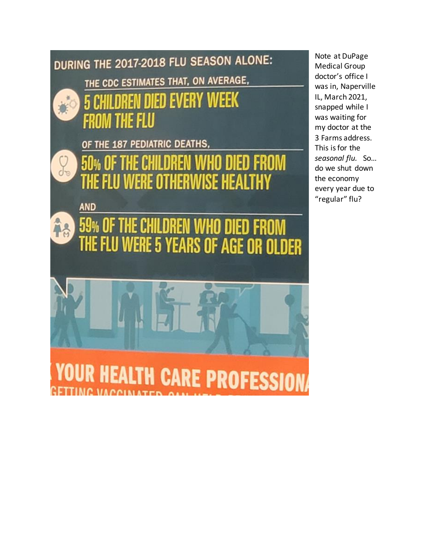

Note at DuPage Medical Group doctor's office I was in, Naperville IL, March 2021, snapped while I was waiting for my doctor at the 3 Farms address. This is for the *seasonal flu.* So… do we shut down the economy every year due to "regular" flu?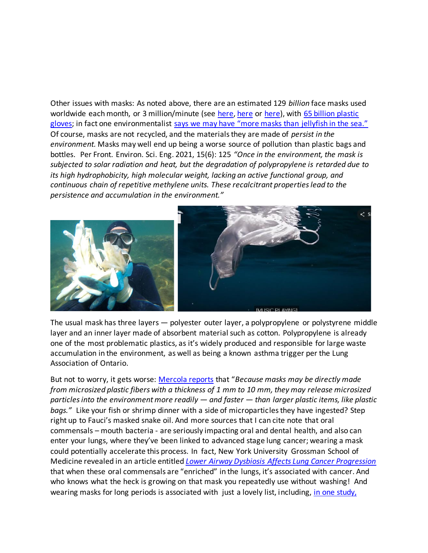Other issues with masks: As noted above, there are an estimated 129 *billion* face masks used worldwide each month, or 3 million/minute (see [here,](https://phys.org/news/2021-03-masks-plastic-timebomb.html) [here](https://childrenshealthdefense.org/defender/3-million-masks-a-minute/) o[r here\)](https://www.huffingtonpost.ca/entry/masks-environment-pandemic_ca_5fca9b04c5b626e08a29e795), with 65 billion plastic [gloves;](https://www.cnn.com/2020/06/24/us/plastic-pollution-ocean-covid-waste-trnd/index.html) in fact one environmentalist [says we may have "more masks than jellyfish in the sea."](https://www.cnn.com/2020/06/24/us/plastic-pollution-ocean-covid-waste-trnd/index.html) Of course, masks are not recycled, and the materials they are made of *persist in the environment.* Masks may well end up being a worse source of pollution than plastic bags and bottles. Per Front. Environ. Sci. Eng. 2021, 15(6): 125 *"Once in the environment, the mask is subjected to solar radiation and heat, but the degradation of polypropylene is retarded due to its high hydrophobicity, high molecular weight, lacking an active functional group, and continuous chain of repetitive methylene units. These recalcitrant properties lead to the persistence and accumulation in the environment."* 



The usual mask has three layers — polyester outer layer, a polypropylene or polystyrene middle layer and an inner layer made of absorbent material such as cotton. Polypropylene is already one of the most problematic plastics, as it's widely produced and responsible for large waste accumulation in the environment, as well as being a known asthma trigger per the Lung Association of Ontario.

But not to worry, it gets worse: [Mercola reports](https://articles.mercola.com/sites/articles/archive/2021/04/07/face-mask-plastic-microfibers.aspx?ui=85e25c30771774a6eb5c52638ffecb6adfd58e053c28cca2f6014cb86ed0e8df&sd=20190328&cid_source=dnl&cid_medium=email&cid_content=art1HL&cid=20210407&mid=DM851293&rid=1126870212) that "*Because masks may be directly made from microsized plastic fibers with a thickness of 1 mm to 10 mm, they may release microsized particles into the environment more readily — and faster — than larger plastic items, like plastic bags."* Like your fish or shrimp dinner with a side of microparticles they have ingested? Step right up to Fauci's masked snake oil. And more sources that I can cite note that oral commensals – mouth bacteria - are seriously impacting oral and dental health, and also can enter your lungs, where they've been linked to advanced stage lung cancer; wearing a mask could potentially accelerate this process. In fact, [New York University Grossman School of](https://cancerdiscovery.aacrjournals.org/content/11/2/293.long)  [Medicine revealed](https://cancerdiscovery.aacrjournals.org/content/11/2/293.long) in an article entitled *[Lower Airway Dysbiosis Affects Lung Cancer Progression](https://cancerdiscovery.aacrjournals.org/content/11/2/293.long)*  that when these oral commensals are "enriched" in the lungs, it's associated with cancer. And who knows what the heck is growing on that mask you repeatedly use without washing! And wearing masks for long periods is associated with just a lovely list, including, [in one study,](https://www.researchsquare.com/article/rs-124394/v2)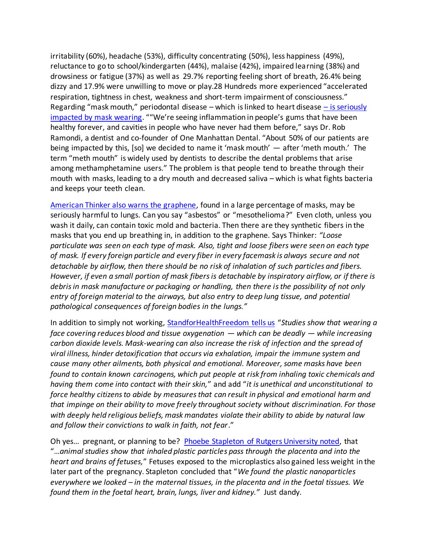irritability (60%), headache (53%), difficulty concentrating (50%), less happiness (49%), reluctance to go to school/kindergarten (44%), malaise (42%), impaired learning (38%) and drowsiness or fatigue (37%) as well as 29.7% reporting feeling short of breath, 26.4% being dizzy and 17.9% were unwilling to move or play.28 Hundreds more experienced "accelerated respiration, tightness in chest, weakness and short-term impairment of consciousness." Regarding "mask mouth," periodontal disease – which is linked to heart disease  $-$  is seriously [impacted by mask wearing](https://www.technocracy.news/dentists-warn-of-harmful-mask-mouth-disease/). ""We're seeing inflammation in people's gums that have been healthy forever, and cavities in people who have never had them before," says Dr. Rob Ramondi, a dentist and co-founder of One Manhattan Dental. "About 50% of our patients are being impacted by this, [so] we decided to name it 'mask mouth' — after 'meth mouth.' The term "meth mouth" is widely used by dentists to describe the dental problems that arise among methamphetamine users." The problem is that people tend to breathe through their mouth with masks, leading to a dry mouth and decreased saliva – which is what fights bacteria and keeps your teeth clean.

[American Thinker also warns the graphene,](https://www.americanthinker.com/blog/2021/04/now_theres_even_more_reason_to_resist_the_masks.html) found in a large percentage of masks, may be seriously harmful to lungs. Can you say "asbestos" or "mesothelioma?" Even cloth, unless you wash it daily, can contain toxic mold and bacteria. Then there are they synthetic fibers in the masks that you end up breathing in, in addition to the graphene. Says Thinker: *"Loose particulate was seen on each type of mask. Also, tight and loose fibers were seen on each type of mask. If every foreign particle and every fiber in every facemask is always secure and not detachable by airflow, then there should be no risk of inhalation of such particles and fibers. However, if even a small portion of mask fibers is detachable by inspiratory airflow, or if there is debris in mask manufacture or packaging or handling, then there is the possibility of not only entry of foreign material to the airways, but also entry to deep lung tissue, and potential pathological consequences of foreign bodies in the lungs."*

In addition to simply not working, [StandforHealthFreedom tells us](https://standforhealthfreedom.com/action/act-now-mandatory-masks-endanger-your-health/?utm_campaign=Daily%20Newsletter%3A%20Masks%20Are%20a%20Ticking%20Time%20Bomb%20%28SbtDRV%29&utm_medium=email&utm_source=Daily%20Newsletter&_ke=eyJrbF9jb21wYW55X2lkIjogIksydlhBeSIsICJrbF9lbWFpbCI6ICJqdmFubmVAY29tY2FzdC5uZXQifQ%3D%3D) "*Studies show that wearing a face covering reduces blood and tissue oxygenation — which can be deadly — while increasing carbon dioxide levels. Mask-wearing can also increase the risk of infection and the spread of viral illness, hinder detoxification that occurs via exhalation, impair the immune system and cause many other ailments, both physical and emotional. Moreover, some masks have been found to contain known carcinogens, which put people at risk from inhaling toxic chemicals and having them come into contact with their skin,*" and add "*it is unethical and unconstitutional to force healthy citizens to abide by measures that can result in physical and emotional harm and that impinge on their ability to move freely throughout society without discrimination. For those with deeply held religious beliefs, mask mandates violate their ability to abide by natural law and follow their convictions to walk in faith, not fear*."

Oh yes… pregnant, or planning to be? [Phoebe Stapleton of Rutgers University noted,](https://amp.theguardian.com/environment/2021/mar/18/plastic-particles-pass-from-mothers-into-foetuses-rat-study-shows) that "…*animal studies show that inhaled plastic particles pass through the placenta and into the heart and brains of fetuses,*" Fetuses exposed to the microplastics also gained less weight in the later part of the pregnancy. Stapleton concluded that "*We found the plastic nanoparticles everywhere we looked – in the maternal tissues, in the placenta and in the foetal tissues. We found them in the foetal heart, brain, lungs, liver and kidney."* Just dandy.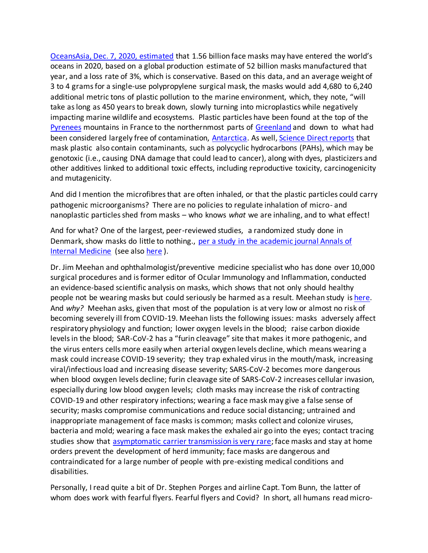[OceansAsia, Dec. 7, 2020, estimated](https://oceansasia.org/covid-19-facemasks/) that 1.56 billion face masks may have entered the world's oceans in 2020, based on a global production estimate of 52 billion masks manufactured that year, and a loss rate of 3%, which is conservative. Based on this data, and an average weight of 3 to 4 grams for a single-use polypropylene surgical mask, the masks would add 4,680 to 6,240 additional metric tons of plastic pollution to the marine environment, which, they note, "will take as long as 450 years to break down, slowly turning into microplastics while negatively impacting marine wildlife and ecosystems. Plastic particles have been found at the top of the [Pyrenees](WWF%20Analysis,%20No%20Plastic%20in%20Nature:%20Assessing%20Plastic%20Ingestion%20From%20Nature%20To%20People%202019) mountains in France to the northernmost parts of [Greenland](Science%20Advances%20April%2019,%202017) and down to what had been considered largely free of contamination, [Antarctica.](Front.%20Environ.%20Sci.%20Eng.%202021,%2015(6):%20125) As well, [Science Direct reports](https://www.sciencedirect.com/science/article/abs/pii/S2468584417300119) that mask plastic also contain contaminants, such as polycyclic hydrocarbons (PAHs), which may be genotoxic (i.e., causing DNA damage that could lead to cancer), along with dyes, plasticizers and other additives linked to additional toxic effects, including reproductive toxicity, carcinogenicity and mutagenicity.

And did I mention the microfibres that are often inhaled, or that the plastic particles could carry pathogenic microorganisms? There are no policies to regulate inhalation of micro- and nanoplastic particles shed from masks – who knows *what* we are inhaling, and to what effect!

And for what? One of the largest, peer-reviewed studies, a randomized study done in Denmark, show masks do little to nothing., [per a study in the academic journal Annals of](https://fee.org/articles/new-danish-study-finds-masks-don-t-protect-wearers-from-covid-infection/)  [Internal Medicine](https://fee.org/articles/new-danish-study-finds-masks-don-t-protect-wearers-from-covid-infection/) (see also [here](https://www.thelocal.dk/20201118/danish-study-finds-no-clear-evidence-face-masks-protect-wearer-from-covid-19-infection/) ).

Dr. Jim Meehan and ophthalmologist/preventive medicine specialist who has done over 10,000 surgical procedures and is former editor of Ocular Immunology and Inflammation, conducted an evidence-based scientific analysis on masks, which shows that not only should healthy people not be wearing masks but could seriously be harmed as a result. Meehan study i[s here.](https://www.meehanmd.com/blog/post/173679/an-evidence-based-scientific-analysis-of-why-masks-are-ineffective-unnecessary-and-harmful) And *why?* Meehan asks, given that most of the population is at very low or almost no risk of becoming severely ill from COVID-19. Meehan lists the following issues: masks adversely affect respiratory physiology and function; lower oxygen levels in the blood; raise carbon dioxide levels in the blood; SAR-CoV-2 has a "furin cleavage" site that makes it more pathogenic, and the virus enters cells more easily when arterial oxygen levels decline, which means wearing a mask could increase COVID-19 severity; they trap exhaled virus in the mouth/mask, increasing viral/infectious load and increasing disease severity; SARS-CoV-2 becomes more dangerous when blood oxygen levels decline; furin cleavage site of SARS-CoV-2 increases cellular invasion, especially during low blood oxygen levels; cloth masks may increase the risk of contracting COVID-19 and other respiratory infections; wearing a face mask may give a false sense of security; masks compromise communications and reduce social distancing; untrained and inappropriate management of face masks is common; masks collect and colonize viruses, bacteria and mold; wearing a face mask makes the exhaled air go into the eyes; contact tracing studies show that [asymptomatic carrier transmission is very rare;](https://articles.mercola.com/sites/articles/archive/2020/05/20/do-asymptomatic-carriers-spread-coronavirus.aspx) face masks and stay at home orders prevent the development of herd immunity; face masks are dangerous and contraindicated for a large number of people with pre-existing medical conditions and disabilities.

Personally, I read quite a bit of Dr. Stephen Porges and airline Capt. Tom Bunn, the latter of whom does work with fearful flyers. Fearful flyers and Covid? In short, all humans read micro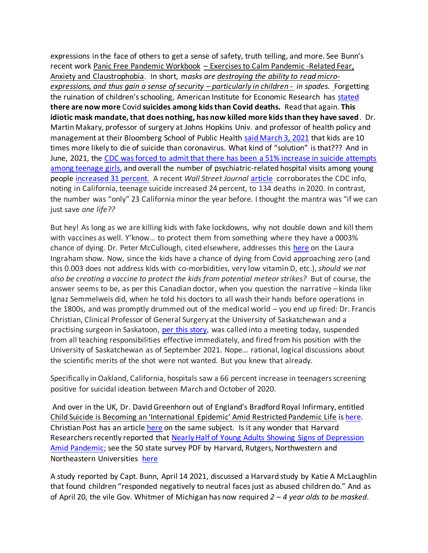expressions in the face of others to get a sense of safety, truth telling, and more. See Bunn's recent work Panic Free Pandemic Workbook – Exercises to Calm Pandemic -Related Fear, Anxiety and Claustrophobia. In short, m*asks are destroying the ability to read microexpressions, and thus gain a sense of security – particularly in children - in spades.* Forgetting the ruination of children's schooling, American Institute for Economic Research has [stated](https://www.aier.org/article/more-covid-suicides-than-covid-deaths-in-kids/)  **there are now more** Covid **suicides among kids than Covid deaths.** Read that again. **This idiotic mask mandate, that does nothing, has now killed more kids than they have saved**. Dr. Martin Makary, professor of surgery at Johns Hopkins Univ. and professor of health policy and management at their Bloomberg School of Public Health [said March 3,](https://www.thecollegefix.com/kids-are-10-times-more-likely-to-die-of-suicide-than-coronavirus-medical-professor-warns/) 2021 that kids are 10 times more likely to die of suicide than coronavirus. What kind of "solution" is that??? And in June, 2021, the [CDC was forced to admit that there has been a 51% increase in suicide attempts](https://www.naturalblaze.com/2021/06/cdc-reports-51-increase-in-suicide-attempts-among-teenage-girls.html?utm_source=Natural+Blaze+Subscribers&utm_medium=email&utm_campaign=dbaf1812c7-RSS_EMAIL_CAMPAIGN&utm_term=0_b73c66b129-dbaf1812c7-388484028)  [among teenage girls,](https://www.naturalblaze.com/2021/06/cdc-reports-51-increase-in-suicide-attempts-among-teenage-girls.html?utm_source=Natural+Blaze+Subscribers&utm_medium=email&utm_campaign=dbaf1812c7-RSS_EMAIL_CAMPAIGN&utm_term=0_b73c66b129-dbaf1812c7-388484028) and overall the number of psychiatric-related hospital visits among young people [increased 31 percent.](https://www.cdc.gov/mmwr/volumes/70/wr/mm7024e1.htm?s_cid=mm7024e1_w&ACSTrackingID=DM59196&ACSTrackingLabel=Suspected%20Suicide%20Attempts%20Increased%20for%20Adolescents%20and%20Young%20Adults%20During%20COVID-19_DM59196&deliveryName=DM59196) A recent *Wall Street Journal* [article](https://www.wsj.com/articles/the-pandemics-toll-on-teen-mental-health-11623344542?mod=opinion_lead_pos7) corroborates the CDC info, noting in California, teenage suicide increased 24 percent, to 134 deaths in 2020. In contrast, the number was "only" 23 California minor the year before. I thought the mantra was "if we can just save *one life??*

But hey! As long as we are killing kids with fake lockdowns, why not double down and kill them with vaccines as well. Y'know… to protect them from something where they have a 0003% chance of dying. Dr. Peter McCullough, cited elsewhere, addresses this [here](https://www.bitchute.com/video/aUBakra39J5P/) on the Laura Ingraham show. Now, since the kids have a chance of dying from Covid approaching zero (and this 0.003 does not address kids with co-morbidities, very low vitamin D, etc.), *should we not also be creating a vaccine to protect the kids from potential meteor strikes?* But of course, the answer seems to be, as per this Canadian doctor, when you question the narrative – kinda like Ignaz Semmelweis did, when he told his doctors to all wash their hands before operations in the 1800s, and was promptly drummed out of the medical world – you end up fired: Dr. Francis Christian, Clinical Professor of General Surgery at the University of Saskatchewan and a practising surgeon in Saskatoon, [per this story,](https://www.naturalblaze.com/2021/06/surgeon-fired-from-college-of-medicine-for-voicing-concerns-about-covid-shots-for-kids.html?utm_source=Natural+Blaze+Subscribers&utm_medium=email&utm_campaign=dbaf1812c7-RSS_EMAIL_CAMPAIGN&utm_term=0_b73c66b129-dbaf1812c7-388484028) was called into a meeting today, suspended from all teaching responsibilities effective immediately, and fired from his position with the University of Saskatchewan as of September 2021. Nope… rational, logical discussions about the scientific merits of the shot were not wanted. But you knew that already.

Specifically in Oakland, California, hospitals saw a 66 percent increase in teenagers screening positive for suicidal ideation between March and October of 2020.

And over in the UK, Dr. David Greenhorn out of England's Bradford Royal Infirmary, entitled Child Suicide is Becoming an 'International Epidemic' Amid Restricted Pandemic Life i[s here.](https://fee.org/articles/child-suicide-is-becoming-an-international-epidemic-amid-restricted-pandemic-life-doctors-warn/) Christian Post has an articl[e here](https://www.christianpost.com/news/more-youth-are-dying-of-suicide-overdose-than-covid-19-during-pandemic-cdc-director.html) on the same subject. Is it any wonder that Harvard Researchers recently reported that [Nearly Half of Young Adults Showing Signs of Depression](https://fee.org/articles/harvard-researchers-nearly-half-of-young-adults-showing-signs-of-depression-amid-pandemic/)  [Amid Pandemic;](https://fee.org/articles/harvard-researchers-nearly-half-of-young-adults-showing-signs-of-depression-amid-pandemic/) see the 50 state survey PDF by Harvard, Rutgers, Northwestern and Northeastern Universities [here](https://www.kateto.net/covid19/COVID19%20CONSORTIUM%20REPORT%2023%20MENTAL%20HEALTH%20NOV%202020.pdf)

A study reported by Capt. Bunn, April 14 2021, discussed a Harvard study by Katie A McLaughlin that found children "responded negatively to neutral faces just as abused children do." And as of April 20, the vile Gov. Whitmer of Michigan has now required *2 – 4 year olds to be masked*.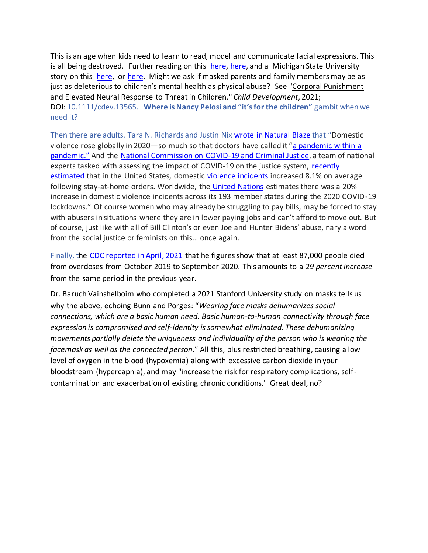This is an age when kids need to learn to read, model and communicate facial expressions. This is all being destroyed. Further reading on this [here,](https://www.msn.com/en-us/news/us/michigan-expands-mask-mandate-to-children-as-young-as-2-years-old/vp-BB1fNYdE) [here,](https://news.yahoo.com/dr-siegel-michigan-mask-mandate-140355123.html?guccounter=1&guce_referrer=aHR0cHM6Ly9kdWNrZHVja2dvLmNvbS8&guce_referrer_sig=AQAAACVqgaKcMasAd8yigVaOQf-mSCI_UmoK1_IGFIVuIrqwQj5eaSbMVsNxsEZuj3b-zGy0SSY0sabyzEBDJkM3FfYgiaVNWhbJkkF48JheFYiWavqYrKNS4EAn2DRLAEw5Y3_jWh_WNGGZNe7Zhtq4JeNCDe2lpzfKjBdgLuakELPo) and a Michigan State University story on this [here,](https://www.wkar.org/post/state-mask-requirement-now-applies-2-4-year-olds#stream/0) or [here.](https://video.foxnews.com/v/6249369846001#sp=show-clips) Might we ask if masked parents and family members may be as just as deleterious to children's mental health as physical abuse? See "Corporal Punishment and Elevated Neural Response to Threat in Children." *Child Development*, 2021; DOI: [10.1111/cdev.13565.](http://dx.doi.org/10.1111/cdev.13565) **Where is Nancy Pelosi and "it's for the children"** gambit when we need it?

Then there are adults. Tara N. Richards and Justin Ni[x wrote in Natural Blaze](https://www.naturalblaze.com/2021/04/domestic-violence-calls-for-help-increased-20-during-the-pandemic.html?utm_source=Natural+Blaze+Subscribers&utm_medium=email&utm_campaign=bf441cca8a-RSS_EMAIL_CAMPAIGN&utm_term=0_b73c66b129-bf441cca8a-388484028) that "Domestic violence rose globally in 2020—so much so that doctors have called it "[a pandemic within a](https://www.nejm.org/doi/full/10.1056/NEJMp2024046)  [pandemic](https://www.nejm.org/doi/full/10.1056/NEJMp2024046)." And the [National Commission on COVID-19 and Criminal Justice,](https://covid19.counciloncj.org/) a team of national experts tasked with assessing the impact of COVID-19 on the justice system, [recently](https://covid19.counciloncj.org/2021/02/23/impact-report-COVID-19-and-domestic-violence-trends/)  [estimated](https://covid19.counciloncj.org/2021/02/23/impact-report-COVID-19-and-domestic-violence-trends/) that in the United States, domestic [violence](https://phys.org/tags/violence/) incidents increased 8.1% on average following stay-at-home orders. Worldwide, the [United Nations](https://www.unfpa.org/resources/impact-COVID-19-pandemic-family-planning-and-ending-gender-based-violence-female-genital) estimates there was a 20% increase in domestic violence incidents across its 193 member states during the 2020 COVID-19 lockdowns." Of course women who may already be struggling to pay bills, may be forced to stay with abusers in situations where they are in lower paying jobs and can't afford to move out. But of course, just like with all of Bill Clinton's or even Joe and Hunter Bidens' abuse, nary a word from the social justice or feminists on this… once again.

Finally, the [CDC reported in April, 2021](https://www.cdc.gov/nchs/nvss/vsrr/drug-overdose-data.htm) that he figures show that at least 87,000 people died from overdoses from October 2019 to September 2020. This amounts to a *29 percent increase* from the same period in the previous year.

Dr. Baruch Vainshelboim who completed a 2021 Stanford University study on masks tells us why the above, echoing Bunn and Porges: "*Wearing face masks dehumanizes social connections, which are a basic human need. Basic human-to-human connectivity through face expression is compromised and self-identity is somewhat eliminated. These dehumanizing movements partially delete the uniqueness and individuality of the person who is wearing the facemask as well as the connected person*." All this, plus restricted breathing, causing a low level of oxygen in the blood (hypoxemia) along with excessive carbon dioxide in your bloodstream (hypercapnia), and may "increase the risk for respiratory complications, selfcontamination and exacerbation of existing chronic conditions." Great deal, no?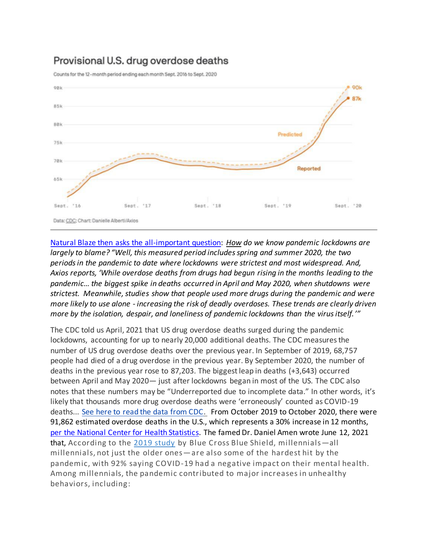# Provisional U.S. drug overdose deaths

Counts for the 12-month period ending each month Sept. 2016 to Sept. 2020



[Natural Blaze then asks the all-important question:](https://www.naturalblaze.com/2021/04/drug-overdose-deaths-skyrocketed-to-record-levels-amid-pandemic-lockdowns-new-cdc-data-show.html?utm_source=Natural+Blaze+Subscribers&utm_medium=email&utm_campaign=c319d75a9a-RSS_EMAIL_CAMPAIGN&utm_term=0_b73c66b129-c319d75a9a-388484028) *How do we know pandemic lockdowns are largely to blame? "Well, this measured period includes spring and summer 2020, the two periods in the pandemic to date where lockdowns were strictest and most widespread. And, Axios reports, 'While overdose deaths from drugs had begun rising in the months leading to the pandemic… the biggest spike in deaths occurred in April and May 2020, when shutdowns were strictest. Meanwhile, studies show that people used more drugs during the pandemic and were more likely to use alone - increasing the risk of deadly overdoses. These trends are clearly driven more by the isolation, despair, and loneliness of pandemic lockdowns than the virus itself.'"*

The CDC told us April, 2021 that US drug overdose deaths surged during the pandemic lockdowns, accounting for up to nearly 20,000 additional deaths. The CDC measures the number of US drug overdose deaths over the previous year. In September of 2019, 68,757 people had died of a drug overdose in the previous year. By September 2020, the number of deaths in the previous year rose to 87,203. The biggest leap in deaths (+3,643) occurred between April and May 2020— just after lockdowns began in most of the US. The CDC also notes that these numbers may be "Underreported due to incomplete data." In other words, it's likely that thousands more drug overdose deaths were 'erroneously' counted as COVID-19 deaths... [See here to read the data from CDC.](https://iman.keap-link001.com/api/v1/click/6746118780485632/6488243727630336) From October 2019 to October 2020, there were 91,862 estimated overdose deaths in the U.S., which represents a 30% increase in 12 months, [per the National Center for Health Statistics.](https://www.cdc.gov/nchs/nvss/vsrr/drug-overdose-data.htm) The famed Dr. Daniel Amen wrote June 12, 2021 that, According to the [2019 study](https://www.bcbs.com/the-health-of-america/reports/millennial-health-trends-behavioral-health-conditions) by Blue Cross Blue Shield, millennials—all millennials, not just the older ones—are also some of the hardest hit by the pandemic, with 92% saying COVID-19 had a negative impact on their mental health. Among millennials, the pandemic contributed to major increases in unhealthy behaviors, including: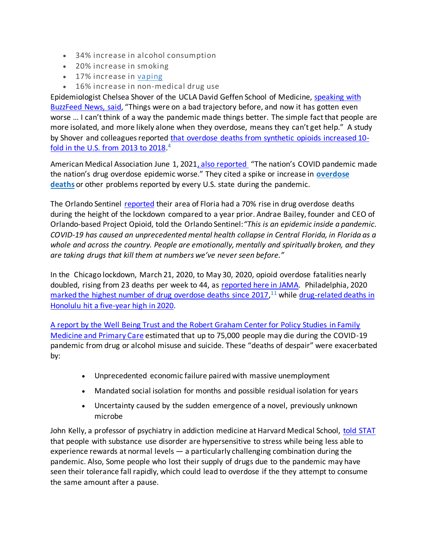- 34% increase in alcohol consumption
- 20% increase in smoking
- 17% increase in [vaping](https://www.amenclinics.com/blog/deadly-vaping-epidemic-attacks-the-brain-too/)
- 16% increase in non-medical drug use

Epidemiologist Chelsea Shover of the UCLA David Geffen School of Medicine, [speaking with](https://www.buzzfeednews.com/article/danvergano/overdose-fentanyl-crisis-biden)  [BuzzFeed News, said](https://www.buzzfeednews.com/article/danvergano/overdose-fentanyl-crisis-biden), "Things were on a bad trajectory before, and now it has gotten even worse … I can't think of a way the pandemic made things better. The simple fact that people are more isolated, and more likely alone when they overdose, means they can't get help." A study by Shover and colleagues reported [that overdose deaths from synthetic opioids increased 10](https://www.ncbi.nlm.nih.gov/pmc/articles/PMC7521591/) [fold in the U.S. from 2013 to 2018.](https://www.ncbi.nlm.nih.gov/pmc/articles/PMC7521591/)<sup>4</sup>

American Medical Association June 1, 2021, [also reported](https://www.ncbi.nlm.nih.gov/pmc/articles/PMC7521591/) "The nation's COVID pandemic made the nation's drug overdose epidemic worse." They cited a spike or increase in **[overdose](https://articles.mercola.com/sites/articles/archive/2021/05/06/lockdown-drove-up-opioid-overdose-deaths.aspx)  [deaths](https://articles.mercola.com/sites/articles/archive/2021/05/06/lockdown-drove-up-opioid-overdose-deaths.aspx)** or other problems reported by every U.S. state during the pandemic.

The Orlando Sentinel [reported](https://www.orlandosentinel.com/coronavirus/os-ne-coronavirus-dramatic-rise-in-florida-drug-overdoses-during-covid-20201202-u6rognhntrh7foitil4h5kltqi-story.html) their area of Floria had a 70% rise in drug overdose deaths during the height of the lockdown compared to a year prior. Andrae Bailey, founder and CEO of Orlando-based Project Opioid, told the Orlando Sentinel:*"This is an epidemic inside a pandemic. COVID-19 has caused an unprecedented mental health collapse in Central Florida, in Florida as a whole and across the country. People are emotionally, mentally and spiritually broken, and they are taking drugs that kill them at numbers we've never seen before."*

In the Chicago lockdown, March 21, 2020, to May 30, 2020, opioid overdose fatalities nearly doubled, rising from 23 deaths per week to 44, as [reported here in JAMA.](https://jamanetwork.com/journals/jama/fullarticle/2779399?utm_source=silverchair&utm_campaign=jama_network&utm_content=covid_weekly_highlights&utm_medium=email) Philadelphia, 2020 marked [the highest number of drug overdose deaths since 2017,](https://www.nbcphiladelphia.com/news/local/phillys-overdose-deaths-during-pandemic-highest-since-2017/2836067/)<sup>11</sup> while drug-related deaths in [Honolulu hit a five-year high in 2020.](https://www.usnews.com/news/best-states/hawaii/articles/2021-05-17/drug-related-deaths-in-honolulu-hit-a-5-year-high-in-2020)

[A report by the Well Being Trust and the Robert Graham Center for Policy Studies in Family](https://wellbeingtrust.org/areas-of-focus/policy-and-advocacy/reports/projected-deaths-of-despair-during-covid-19/)  [Medicine and Primary Care](https://wellbeingtrust.org/areas-of-focus/policy-and-advocacy/reports/projected-deaths-of-despair-during-covid-19/) estimated that up to 75,000 people may die during the COVID-19 pandemic from drug or alcohol misuse and suicide. These "deaths of despair" were exacerbated by:

- Unprecedented economic failure paired with massive unemployment
- Mandated social isolation for months and possible residual isolation for years
- Uncertainty caused by the sudden emergence of a novel, previously unknown microbe

John Kelly, a professor of psychiatry in addiction medicine at Harvard Medical School, [told STAT](https://www.statnews.com/2021/02/16/as-pandemic-ushered-in-isolation-financial-hardship-overdose-deaths-reached-new-heights/) that people with substance use disorder are hypersensitive to stress while being less able to experience rewards at normal levels — a particularly challenging combination during the pandemic. Also, Some people who lost their supply of drugs due to the pandemic may have seen their tolerance fall rapidly, which could lead to overdose if the they attempt to consume the same amount after a pause.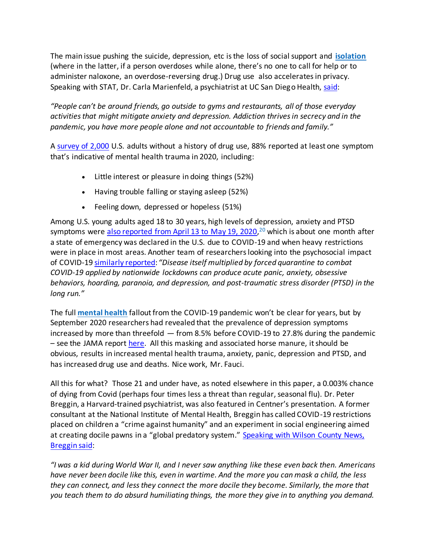The main issue pushing the suicide, depression, etc is the loss of social support and **[isolation](https://articles.mercola.com/sites/articles/archive/2020/03/26/coronavirus-isolation.aspx)** (where in the latter, if a person overdoses while alone, there's no one to call for help or to administer naloxone, an overdose-reversing drug.) Drug use also accelerates in privacy. Speaking with STAT, Dr. Carla Marienfeld, a psychiatrist at UC San Diego Health[, said:](https://www.statnews.com/2021/02/16/as-pandemic-ushered-in-isolation-financial-hardship-overdose-deaths-reached-new-heights/)

*"People can't be around friends, go outside to gyms and restaurants, all of those everyday activities that might mitigate anxiety and depression. Addiction thrives in secrecy and in the pandemic, you have more people alone and not accountable to friends and family."*

[A survey of 2,000](https://www.studyfinds.org/2020-so-bad-americans-entered-therapy-first-time/) U.S. adults without a history of drug use, 88% reported at least one symptom that's indicative of mental health trauma in 2020, including:

- Little interest or pleasure in doing things (52%)
- Having trouble falling or staying asleep (52%)
- Feeling down, depressed or hopeless (51%)

Among U.S. young adults aged 18 to 30 years, high levels of depression, anxiety and PTSD symptoms were [also reported from April 13 to May 19, 2020,](https://pubmed.ncbi.nlm.nih.gov/32512357/)<sup>20</sup> which is about one month after a state of emergency was declared in the U.S. due to COVID-19 and when heavy restrictions were in place in most areas. Another team of researchers looking into the psychosocial impact of COVID-19 [similarly reported:](https://pubmed.ncbi.nlm.nih.gov/32512357/) *"Disease itself multiplied by forced quarantine to combat COVID-19 applied by nationwide lockdowns can produce acute panic, anxiety, obsessive behaviors, hoarding, paranoia, and depression, and post-traumatic stress disorder (PTSD) in the long run."*

The full **[mental health](https://articles.mercola.com/sites/articles/archive/2020/04/09/pandemic-foreshadows-mental-health-crisis.aspx)** fallout from the COVID-19 pandemic won't be clear for years, but by September 2020 researchers had revealed that the prevalence of depression symptoms increased by more than threefold — from 8.5% before COVID-19 to 27.8% during the pandemic – see the JAMA repor[t here.](https://jamanetwork.com/journals/jamanetworkopen/fullarticle/2770146) All this masking and associated horse manure, it should be obvious, results in increased mental health trauma, anxiety, panic, depression and PTSD, and has increased drug use and deaths. Nice work, Mr. Fauci.

All this for what? Those 21 and under have, as noted elsewhere in this paper, a 0.003% chance of dying from Covid (perhaps four times less a threat than regular, seasonal flu). Dr. Peter Breggin, a Harvard-trained psychiatrist, was also featured in Centner's presentation. A former consultant at the National Institute of Mental Health, Breggin has called COVID-19 restrictions placed on children a "crime against humanity" and an experiment in social engineering aimed at creating docile pawns in a "global predatory system." Speaking with Wilson County News, [Breggin said:](https://www.wilsoncountynews.com/articles/doctor-says-covid-restrictions-on-school-children-are-crime-against-humanity/)

*"I was a kid during World War II, and I never saw anything like these even back then. Americans have never been docile like this, even in wartime. And the more you can mask a child, the less they can connect, and less they connect the more docile they become. Similarly, the more that you teach them to do absurd humiliating things, the more they give in to anything you demand.*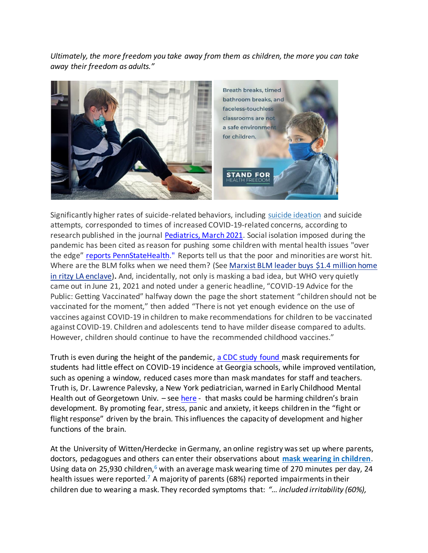*Ultimately, the more freedom you take away from them as children, the more you can take away their freedom as adults."*



Significantly higher rates of suicide-related behaviors, including [suicide ideation](https://articles.mercola.com/sites/articles/archive/2020/09/10/mental-health-coronavirus.aspx) and suicide attempts, corresponded to times of increased COVID-19-related concerns, according to research published in the journal [Pediatrics, March 2021.](https://pediatrics.aappublications.org/content/147/3/e2020029280) Social isolation imposed during the pandemic has been cited as reason for pushing some children with mental health issues "over the edge" [reports PennStateHealth."](https://pennstatehealthnews.org/2021/02/the-medical-minute-parental-involvement-can-help-stem-covid-related-suicide-attempts-in-children/) Reports tell us that the poor and minorities are worst hit. Where are the BLM folks when we need them? (See [Marxist](https://nypost.com/2021/04/10/marxist-blm-leader-buys-1-4-million-home-in-ritzy-la-enclave/) BLM leader buys \$1.4 million home in ritzy LA [enclave\)](https://nypost.com/2021/04/10/marxist-blm-leader-buys-1-4-million-home-in-ritzy-la-enclave/)**.** And, incidentally, not only is masking a bad idea, but WHO very quietly came out in June 21, 2021 and noted under a generic headline, "COVID-19 Advice for the Public: Getting Vaccinated" halfway down the page the short statement "children should not be vaccinated for the moment," then added "There is not yet enough evidence on the use of vaccines against COVID-19 in children to make recommendations for children to be vaccinated against COVID-19. Children and adolescents tend to have milder disease compared to adults. However, children should continue to have the recommended childhood vaccines."

Truth is even during the height of the pandemic, [a CDC study found](https://www.cdc.gov/mmwr/volumes/70/wr/mm7021e1.htm) mask requirements for [students](https://articles.mercola.com/sites/articles/archive/2021/06/02/mask-use-and-ventilation-in-schools.aspx) had little effect on COVID-19 incidence at Georgia schools, while improved ventilation, such as opening a window, reduced cases more than mask mandates for staff and teachers. Truth is, Dr. Lawrence Palevsky, a New York pediatrician, warned in Early Childhood Mental Health out of Georgetown Univ. - se[e here](https://www.ecmhc.org/tutorials/trauma/mod2_3.html) - that masks could be harming children's brain development. By promoting fear, stress, panic and anxiety, it keeps children in the "fight or flight response" driven by the brain. This influences the capacity of development and higher functions of the brain.

At the University of Witten/Herdecke in Germany, an online registry was set up where parents, doctors, pedagogues and others can enter their observations about **[mask wearing in children](https://articles.mercola.com/sites/articles/archive/2021/02/27/effects-of-mask-mandates-and-school-closures.aspx)**. Using data on 25,930 children, $6$  with an average mask wearing time of 270 minutes per day, 24 health issues were reported.<sup>7</sup> A majority of parents (68%) reported impairments in their children due to wearing a mask. They recorded symptoms that: *"… included irritability (60%),*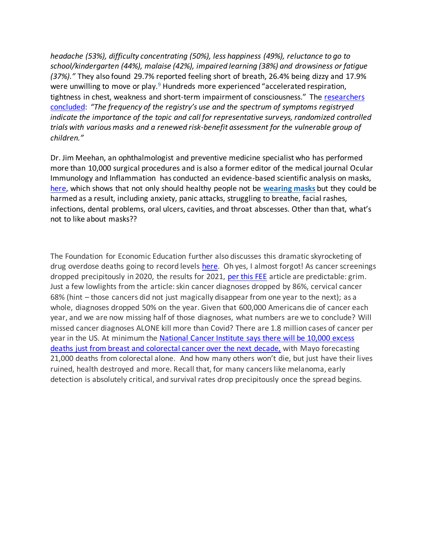*headache (53%), difficulty concentrating (50%), less happiness (49%), reluctance to go to school/kindergarten (44%), malaise (42%), impaired learning (38%) and drowsiness or fatigue (37%)."* They also found 29.7% reported feeling short of breath, 26.4% being dizzy and 17.9% were unwilling to move or play.<sup>9</sup> Hundreds more experienced "accelerated respiration, tightness in chest, weakness and short-term impairment of consciousness." The [researchers](https://www.researchsquare.com/article/rs-124394/v2)  [concluded:](https://www.researchsquare.com/article/rs-124394/v2) *"The frequency of the registry's use and the spectrum of symptoms registryed indicate the importance of the topic and call for representative surveys, randomized controlled trials with various masks and a renewed risk-benefit assessment for the vulnerable group of children."*

Dr. Jim Meehan, an ophthalmologist and preventive medicine specialist who has performed more than 10,000 surgical procedures and is also a former editor of the medical journal Ocular Immunology and Inflammation has conducted an evidence-based scientific analysis on masks, [here,](https://odysee.com/@sayerji:7/freeourkids:8) which shows that not only should healthy people not be **[wearing masks](https://articles.mercola.com/sites/articles/archive/2020/10/09/face-shield-and-mask.aspx)** but they could be harmed as a result, including anxiety, panic attacks, struggling to breathe, facial rashes, infections, dental problems, oral ulcers, cavities, and throat abscesses. Other than that, what's not to like about masks??

The Foundation for Economic Education further also discusses this dramatic skyrocketing of drug overdose deaths going to record levels [here.](https://fee.org/articles/drug-overdose-deaths-skyrocketed-to-record-levels-amid-pandemic-lockdowns-new-cdc-data-show/) Oh yes, I almost forgot! As cancer screenings dropped precipitously in 2020, the results for 2021, [per this FEE](https://fee.org/articles/cancer-screenings-plummeted-in-2020-the-results-are-grim/) article are predictable: grim. Just a few lowlights from the article: skin cancer diagnoses dropped by 86%, cervical cancer 68% (hint – those cancers did not just magically disappear from one year to the next); as a whole, diagnoses dropped 50% on the year. Given that 600,000 Americans die of cancer each year, and we are now missing half of those diagnoses, what numbers are we to conclude? Will missed cancer diagnoses ALONE kill more than Covid? There are 1.8 million cases of cancer per year in the US. At minimum the National Cancer Institute says there will be 10,000 excess [deaths just from breast and colorectal cancer over the next decade,](https://science.sciencemag.org/content/368/6497/1290) with Mayo forecasting 21,000 deaths from colorectal alone. And how many others won't die, but just have their lives ruined, health destroyed and more. Recall that, for many cancers like melanoma, early detection is absolutely critical, and survival rates drop precipitously once the spread begins.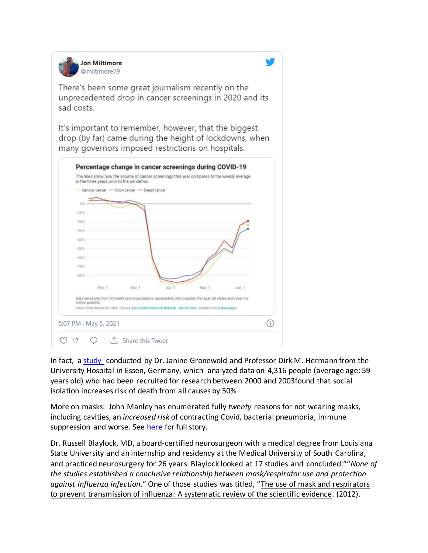

There's been some great journalism recently on the unprecedented drop in cancer screenings in 2020 and its sad costs.

It's important to remember, however, that the biggest drop (by far) came during the height of lockdowns, when many governors imposed restrictions on hospitals.



In fact, a [study](https://www.technocracy.news/study-social-isolation-increases-risk-of-death-from-all-causes-by-50/) conducted by Dr. Janine Gronewold and Professor Dirk M. Hermann from the University Hospital in Essen, Germany, which analyzed data on 4,316 people (average age: 59 years old) who had been recruited for research between 2000 and 2003found that social isolation increases risk of death from all causes by 50%

More on masks: John Manley has enumerated fully *twenty* reasons for not wearing masks, including cavities, an *increased risk* of contracting Covid, bacterial pneumonia, immune suppression and worse. See [here](https://cairnsnews.org/2021/01/26/20-medical-reasons-face-masks-are-dangerous-and-dont-work/) for full story.

Dr. Russell Blaylock, MD, a board-certified neurosurgeon with a medical degree from Louisiana State University and an internship and residency at the Medical University of South Carolina, and practiced neurosurgery for 26 years. Blaylock looked at 17 studies and concluded ""*None of the studies established a conclusive relationship between mask/respirator use and protection against influenza infection*." One of those studies was titled, "The use of mask and respirators to prevent transmission of influenza: A systematic review of the scientific evidence. (2012).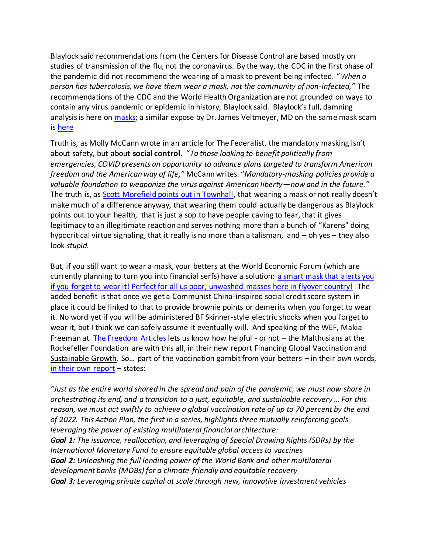Blaylock said recommendations from the Centers for Disease Control are based mostly on studies of transmission of the flu, not the coronavirus. By the way, the CDC in the first phase of the pandemic did not recommend the wearing of a mask to prevent being infected. "*When a person has tuberculosis, we have them wear a mask, not the community of non-infected,"* The recommendations of the CDC and the World Health Organization are not grounded on ways to contain any virus pandemic or epidemic in history, Blaylock said. Blaylock's full, damning analysis is here on [masks;](http://tulsabeacon.com/some-genuine-science-of-the-dangers-of-wearing-masks/) a similar expose by Dr. James Veltmeyer, MD on the same mask scam is [here](../../Desktop)

Truth is, as Molly McCann wrote in an [article for The Federalist,](https://thefederalist.com/2020/05/27/mandatory-masks-arent-about-safety-theyre-about-social-control/) the mandatory masking isn't about safety, but about **social control**. "*To those looking to benefit politically from emergencies, COVID presents an opportunity to advance plans targeted to transform American freedom and the American way of life,"* McCann writes. "*Mandatory-masking policies provide a valuable foundation to weaponize the virus against American liberty—now and in the future."* The truth is, a[s Scott Morefield points out in Townhall](https://townhall.com/columnists/scottmorefield/2020/06/01/8-reasons-why-i-dont-wear-a-mask-and-you-probably-shouldnt-either-n2569786), that wearing a mask or not really doesn't make much of a difference anyway, that wearing them could actually be dangerous as Blaylock points out to your health, that is just a sop to have people caving to fear, that it gives legitimacy to an illegitimate reaction and serves nothing more than a bunch of "Karens" doing hypocritical virtue signaling, that it really is no more than a talisman, and – oh yes – they also look *stupid.* 

But, if you still want to wear a mask, your betters at the World Economic Forum (which are currently planning to turn you into financial serfs) have a solution: [a smart mask that alerts you](https://summit.news/2021/04/07/world-economic-forum-promotes-smart-mask-that-alerts-you-if-you-forget-to-wear-it/)  [if you forget to wear it! Perfect for all us poor, unwashed masses here in flyover country!](https://summit.news/2021/04/07/world-economic-forum-promotes-smart-mask-that-alerts-you-if-you-forget-to-wear-it/) The added benefit is that once we get a Communist China-inspired social credit score system in place it could be linked to that to provide brownie points or demerits when you forget to wear it. No word yet if you will be administered BF Skinner-style electric shocks when you forget to wear it, but I think we can safely assume it eventually will. And speaking of the WEF, Makia Freeman at [The Freedom Articles](https://thefreedomarticles.com/) lets us know how helpful - or not - the Malthusians at the Rockefeller Foundation are with this all, in their new report Financing Global Vaccination and Sustainable Growth*.* So… part of the vaccination gambit from your betters – in their *own* words, [in their own report](https://www.rockefellerfoundation.org/report/one-for-all-an-action-plan-for-financing-global-vaccination-and-sustainable-growth/) - states:

*"Just as the entire world shared in the spread and pain of the pandemic, we must now share in orchestrating its end, and a transition to a just, equitable, and sustainable recovery … For this reason, we must act swiftly to achieve a global vaccination rate of up to 70 percent by the end of 2022. This Action Plan, the first in a series, highlights three mutually reinforcing goals leveraging the power of existing multilateral financial architecture: Goal 1: The issuance, reallocation, and leveraging of Special Drawing Rights (SDRs) by the International Monetary Fund to ensure equitable global access to vaccines Goal 2: Unleashing the full lending power of the World Bank and other multilateral development banks (MDBs) for a climate-friendly and equitable recovery Goal 3: Leveraging private capital at scale through new, innovative investment vehicles*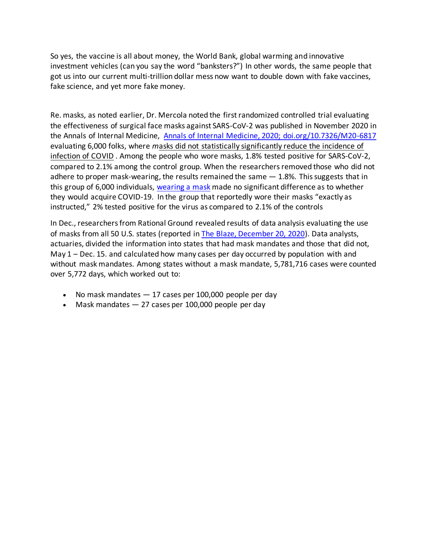So yes, the vaccine is all about money, the World Bank, global warming and innovative investment vehicles (can you say the word "banksters?") In other words, the same people that got us into our current multi-trillion dollar mess now want to double down with fake vaccines, fake science, and yet more fake money.

Re. masks, as noted earlier, Dr. Mercola noted the first randomized controlled trial evaluating the effectiveness of surgical face masks against SARS-CoV-2 was published in November 2020 in the Annals of Internal Medicine, [Annals of Internal Medicine, 2020; doi.org/10.7326/M20-6817](https://www.acpjournals.org/doi/10.7326/M20-6817) evaluating 6,000 folks, where *m*asks did not statistically significantly reduce the incidence of infection of COVID . Among the people who wore masks, 1.8% tested positive for SARS-CoV-2, compared to 2.1% among the control group. When the researchers removed those who did not adhere to proper mask-wearing, the results remained the same  $-1.8\%$ . This suggests that in this group of 6,000 individuals, [wearing a mask](https://articles.mercola.com/sites/articles/archive/2021/02/17/mask-mandate-for-all.aspx) made no significant difference as to whether they would acquire COVID-19. In the group that reportedly wore their masks "exactly as instructed," 2% tested positive for the virus as compared to 2.1% of the controls

In Dec., researchers from Rational Ground revealed results of data analysis evaluating the use of masks from all 50 U.S. states (reported in [The Blaze, December 20, 2020\)](https://www.theblaze.com/op-ed/horowitz-comprehensive-analysis-of-50-states-shows-greater-spread-with-mask-mandates). Data analysts, actuaries, divided the information into states that had mask mandates and those that did not, May  $1$  – Dec. 15. and calculated how many cases per day occurred by population with and without mask mandates. Among states without a mask mandate, 5,781,716 cases were counted over 5,772 days, which worked out to:

- No mask mandates 17 cases per 100,000 people per day
- Mask mandates 27 cases per 100,000 people per day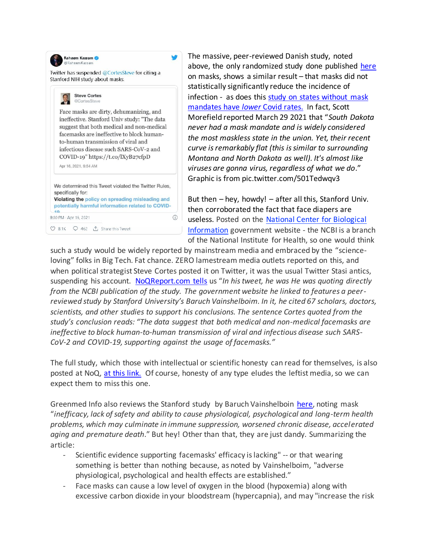

The massive, peer-reviewed Danish study, noted above, the only randomized study done published [here](https://www.medrxiv.org/content/10.1101/2020.12.28.20248936v1) on masks, shows a similar result – that masks did not statistically significantly reduce the incidence of infection - as does this [study on states without mask](https://lidblog.com/states-without-mask-mandates/)  [mandates have](https://lidblog.com/states-without-mask-mandates/) *lower* Covid rates. In fact, Scott Morefield reported March 29 2021 that "*South Dakota never had a mask mandate and is widely considered the most maskless state in the union. Yet, their recent curve is remarkably flat (this is similar to surrounding Montana and North Dakota as well). It's almost like viruses are gonna virus, regardless of what we do*." Graphic is from pic.twitter.com/501Tedwqv3

But then – hey, howdy! – after all this, Stanford Univ. then corroborated the fact that face diapers are useless. Posted on the National Center for [Biological](https://www.ncbi.nlm.nih.gov/pmc/articles/PMC7680614/) [Information](https://www.ncbi.nlm.nih.gov/pmc/articles/PMC7680614/) government website - the NCBI is a branch of the National Institute for Health, so one would think

such a study would be widely reported by mainstream media and embraced by the "scienceloving" folks in Big Tech. Fat chance. ZERO lamestream media outlets reported on this, and when political strategist Steve Cortes posted it on Twitter, it was the usual Twitter Stasi antics, suspending his account. [NoQReport.com tells](https://noqreport.com/2021/04/17/stanford-study-quietly-published-at-nih-gov-proves-face-masks-are-absolutely-worthless-against-covid/) us "*In his tweet, he was He was quoting directly from the NCBI publication of the study. The government website he linked to features a peerreviewed study by Stanford University's Baruch Vainshelboim. In it, he cited 67 scholars, doctors, scientists, and other studies to support his conclusions. The sentence Cortes quoted from the study's conclusion reads: "The data suggest that both medical and non-medical facemasks are ineffective to block human-to-human transmission of viral and infectious disease such SARS-CoV-2 and COVID-19, supporting against the usage of facemasks."*

The full study, which those with intellectual or scientific honesty can read for themselves, is also posted at NoQ, [at this link.](https://noqreport.com/2021/04/17/stanford-study-quietly-published-at-nih-gov-proves-face-masks-are-absolutely-worthless-against-covid/) Of course, honesty of any type eludes the leftist media, so we can expect them to miss this one.

Greenmed Info also reviews the Stanford study by Baruch Vainshelboin [here,](https://www.greenmedinfo.com/blog/new-study-highlights-face-mask-problems-safety-and-efficacy?utm_campaign=Daily%20Newsletter%3A%20New%20Study%20Highlights%20Face%20Mask%20Problems%20with%20Safety%20and%20Efficacy%20%28V8VMJi%29&utm_medium=email&utm_source=Daily%20Newsletter&_ke=eyJrbF9jb21wYW55X2lkIjogIksydlhBeSIsICJrbF9lbWFpbCI6ICJqdmFubmVAY29tY2FzdC5uZXQifQ%3D%3D) noting mask "*inefficacy, lack of safety and ability to cause physiological, psychological and long-term health problems, which may culminate in immune suppression, worsened chronic disease, accelerated aging and premature death*." But hey! Other than that, they are just dandy. Summarizing the article:

- *-* Scientific evidence supporting facemasks' efficacy is lacking" -- or that wearing something is better than nothing because, as noted by Vainshelboim, "adverse physiological, psychological and health effects are established."
- *-* Face masks can cause a low level of oxygen in the blood (hypoxemia) along with excessive carbon dioxide in your bloodstream (hypercapnia), and may "increase the risk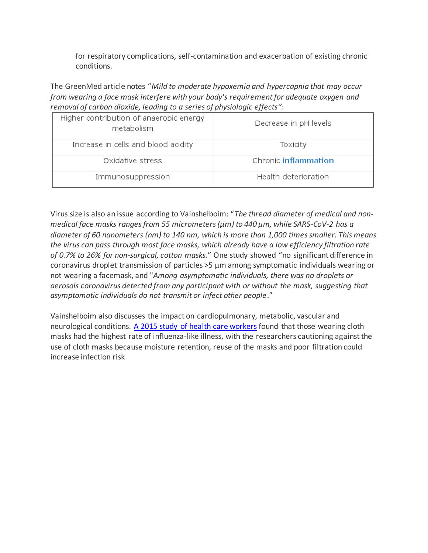for respiratory complications, self-contamination and exacerbation of existing chronic conditions.

The GreenMed article notes "*Mild to moderate hypoxemia and hypercapnia that may occur from wearing a face mask interfere with your body's requirement for adequate oxygen and removal of carbon dioxide, leading to a series of physiologic effects"*:

| Higher contribution of anaerobic energy<br>metabolism | Decrease in pH levels |
|-------------------------------------------------------|-----------------------|
| Increase in cells and blood acidity                   | Toxicity              |
| Oxidative stress                                      | Chronic inflammation  |
| Immunosuppression                                     | Health deterioration  |

Virus size is also an issue according to Vainshelboim: "*The thread diameter of medical and nonmedical face masks ranges from 55 micrometers (µm) to 440 µm, while SARS-CoV-2 has a diameter of 60 nanometers (nm) to 140 nm, which is more than 1,000 times smaller. This means the virus can pass through most face masks, which already have a low efficiency filtration rate of 0.7% to 26% for non-surgical, cotton masks.*" One study showed "no significant difference in coronavirus droplet transmission of particles >5 µm among symptomatic individuals wearing or not wearing a facemask, and "*Among asymptomatic individuals, there was no droplets or aerosols coronavirus detected from any participant with or without the mask, suggesting that asymptomatic individuals do not transmit or infect other people*."

Vainshelboim also discusses the impact on cardiopulmonary, metabolic, vascular and neurological conditions. [A 2015 study of health care workers](https://www.greenmedinfo.com/blog/new-study-highlights-face-mask-problems-safety-and-efficacy?utm_campaign=Daily%20Newsletter%3A%20New%20Study%20Highlights%20Face%20Mask%20Problems%20with%20Safety%20and%20Efficacy%20%28V8VMJi%29&utm_medium=email&utm_source=Daily%20Newsletter&_ke=eyJrbF9jb21wYW55X2lkIjogIksydlhBeSIsICJrbF9lbWFpbCI6ICJqdmFubmVAY29tY2FzdC5uZXQifQ%3D%3D#_edn11) found that those wearing cloth masks had the highest rate of influenza-like illness, with the researchers cautioning against the use of cloth masks because moisture retention, reuse of the masks and poor filtration could increase infection risk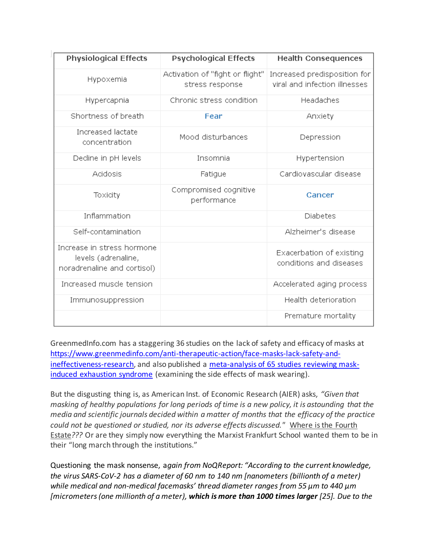| <b>Physiological Effects</b>                                                     | <b>Psychological Effects</b>                       | <b>Health Consequences</b>                                    |
|----------------------------------------------------------------------------------|----------------------------------------------------|---------------------------------------------------------------|
| Hypoxemia                                                                        | Activation of "fight or flight"<br>stress response | Increased predisposition for<br>viral and infection illnesses |
| Hypercapnia                                                                      | Chronic stress condition                           | Headaches                                                     |
| Shortness of breath                                                              | Fear                                               | Anxiety                                                       |
| Increased lactate<br>concentration                                               | Mood disturbances                                  | Depression                                                    |
| Decline in pH levels                                                             | Insomnia                                           | Hypertension                                                  |
| Acidosis                                                                         | Fatigue                                            | Cardiovascular disease                                        |
| Toxicity                                                                         | Compromised cognitive<br>performance               | Cancer                                                        |
| Inflammation                                                                     |                                                    | Diabetes                                                      |
| Self-contamination                                                               |                                                    | Alzheimer's disease                                           |
| Increase in stress hormone<br>levels (adrenaline,<br>noradrenaline and cortisol) |                                                    | Exacerbation of existing<br>conditions and diseases           |
| Increased muscle tension                                                         |                                                    | Accelerated aging process                                     |
| Immunosuppression                                                                |                                                    | Health deterioration                                          |
|                                                                                  |                                                    | Premature mortality                                           |

GreenmedInfo.com has a staggering 36 studies on the lack of safety and efficacy of masks at [https://www.greenmedinfo.com/anti-therapeutic-action/face-masks-lack-safety-and](https://www.greenmedinfo.com/anti-therapeutic-action/face-masks-lack-safety-and-ineffectiveness-research)[ineffectiveness-research,](https://www.greenmedinfo.com/anti-therapeutic-action/face-masks-lack-safety-and-ineffectiveness-research) and also published a [meta-analysis of 65 studies reviewing mask](https://www.greenmedinfo.com/blog/alert-meta-analysis-65-studies-reveals-face-masks-induce-mask-induced-exhaustion-?utm_campaign=Daily%20Newsletter%3A%20ALERT%3A%20Meta-Analysis%20of%2065%20Studies%20Reveals%20Face%20Masks%20Induce%20Mask-Induced%20Exhaustion%20Syndrome%20%28MIES%29%20%28WftGYR%29&utm_medium=email&utm_source=Daily%20Newsletter&_ke=eyJrbF9jb21wYW55X2lkIjogIksydlhBeSIsICJrbF9lbWFpbCI6ICJqdmFubmVAY29tY2FzdC5uZXQifQ%3D%3D)[induced exhaustion syndrome](https://www.greenmedinfo.com/blog/alert-meta-analysis-65-studies-reveals-face-masks-induce-mask-induced-exhaustion-?utm_campaign=Daily%20Newsletter%3A%20ALERT%3A%20Meta-Analysis%20of%2065%20Studies%20Reveals%20Face%20Masks%20Induce%20Mask-Induced%20Exhaustion%20Syndrome%20%28MIES%29%20%28WftGYR%29&utm_medium=email&utm_source=Daily%20Newsletter&_ke=eyJrbF9jb21wYW55X2lkIjogIksydlhBeSIsICJrbF9lbWFpbCI6ICJqdmFubmVAY29tY2FzdC5uZXQifQ%3D%3D) (examining the side effects of mask wearing).

But the disgusting thing is, as American Inst. of Economic Research (AIER) asks, *"Given that masking of healthy populations for long periods of time is a new policy, it is astounding that the media and scientific journals decided within a matter of months that the efficacy of the practice could not be questioned or studied, nor its adverse effects discussed."* Where is the Fourth Estate*???* Or are they simply now everything the Marxist Frankfurt School wanted them to be in their "long march through the institutions."

Questioning the mask nonsense, a*gain from NoQReport: "According to the current knowledge, the virus SARS-CoV-2 has a diameter of 60 nm to 140 nm [nanometers (billionth of a meter) while medical and non-medical facemasks' thread diameter ranges from 55 µm to 440 µm [micrometers (one millionth of a meter), which is more than 1000 times larger [25]. Due to the*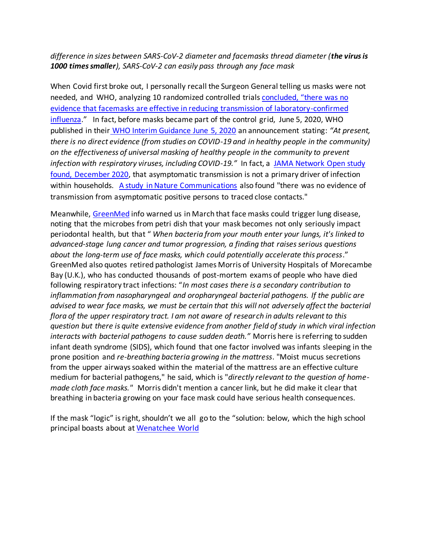## *difference in sizes between SARS-CoV-2 diameter and facemasks thread diameter (the virus is 1000 times smaller), SARS-CoV-2 can easily pass through any face mask*

When Covid first broke out, I personally recall the Surgeon General telling us masks were not needed, and WHO, analyzing 10 randomized controlled trials [concluded, "there was no](https://apps.who.int/iris/bitstream/handle/10665/329438/9789241516839-eng.pdf?ua=1)  [evidence that facemasks are effective in reducing transmission of laboratory-confirmed](https://apps.who.int/iris/bitstream/handle/10665/329438/9789241516839-eng.pdf?ua=1)  [influenza](https://apps.who.int/iris/bitstream/handle/10665/329438/9789241516839-eng.pdf?ua=1)." In fact, before masks became part of the control grid, June 5, 2020, WHO published in their [WHO Interim Guidance June 5, 2020](https://www.google.com/url?sa=t&rct=j&q=&esrc=s&source=web&cd=&ved=2ahUKEwikxaiukt7vAhUGCM0KHcjqDwoQFjAAegQIAhAD&url=https%3A%2F%2Fapps.who.int%2Firis%2Frest%2Fbitstreams%2F1279750%2Fretrieve&usg=AOvVaw3OEk7GblHnLXwd5oEzXFJ1) an announcement stating: *"At present, there is no direct evidence (from studies on COVID-19 and in healthy people in the community) on the effectiveness of universal masking of healthy people in the community to prevent infection with respiratory viruses, including COVID-19."* In fact, a [JAMA Network Open study](JAMA%20Netw%20Open.%202020;3(12):e2031756.%20doi:10.1001/jamanetworkopen.2020.31756)  [found, December 2020,](JAMA%20Netw%20Open.%202020;3(12):e2031756.%20doi:10.1001/jamanetworkopen.2020.31756) that [asymptomatic transmission](https://articles.mercola.com/sites/articles/archive/2020/05/20/do-asymptomatic-carriers-spread-coronavirus.aspx) is not a primary driver of infection within households. [A study in Nature Communications](Nature%20Communications%20November%2020,%202020;%2011%20Article%20number%205917,%20Discussion) also found "there was no evidence of transmission from asymptomatic positive persons to traced close contacts."

Meanwhile, [GreenMed](https://www.greenmedinfo.com/blog/could-wearing-face-mask-trigger-lung-disease1?utm_campaign=Daily%20Newsletter%3A%20Could%20Wearing%20a%20Face%20Mask%20Trigger%20Lung%20Disease%3F%20%28RGqFHm%29&utm_medium=email&utm_source=Daily%20Newsletter&_ke=eyJrbF9jb21wYW55X2lkIjogIksydlhBeSIsICJrbF9lbWFpbCI6ICJqdmFubmVAY29tY2FzdC5uZXQifQ%3D%3D) info warned us in March that face masks could trigger lung disease, noting that the microbes from petri dish that your mask becomes not only seriously impact periodontal health, but that " *When bacteria from your mouth enter your lungs, it's linked to advanced-stage lung cancer and tumor progression, a finding that raises serious questions about the long-term use of face masks, which could potentially accelerate this process*." GreenMed also quotes retired pathologist James Morris of University Hospitals of Morecambe Bay (U.K.), who has conducted thousands of post-mortem exams of people who have died following respiratory tract infections: "*In most cases there is a secondary contribution to inflammation from nasopharyngeal and oropharyngeal bacterial pathogens. If the public are advised to wear face masks, we must be certain that this will not adversely affect the bacterial flora of the upper respiratory tract. I am not aware of research in adults relevant to this question but there is quite extensive evidence from another field of study in which viral infection interacts with bacterial pathogens to cause sudden death."* Morris here is referring to sudden infant death syndrome (SIDS), which found that one factor involved was infants sleeping in the prone position and *re-breathing bacteria growing in the mattress*. "Moist mucus secretions from the upper airways soaked within the material of the mattress are an effective culture medium for bacterial pathogens," he said, which is "*directly relevant to the question of homemade cloth face masks."* Morris didn't mention a cancer link, but he did make it clear that breathing in bacteria growing on your face mask could have serious health consequences.

If the mask "logic" is right, shouldn't we all go to the "solution: below, which the high school principal boasts about at [Wenatchee World](https://www.wenatcheeworld.com/news/coronavirus/back-at-school-pandemic-continues-but-life-goes-on-at-wenatchee-and-eastmont-highs/article_b9d7ae06-762e-11eb-abef-bbb60008f62a.html)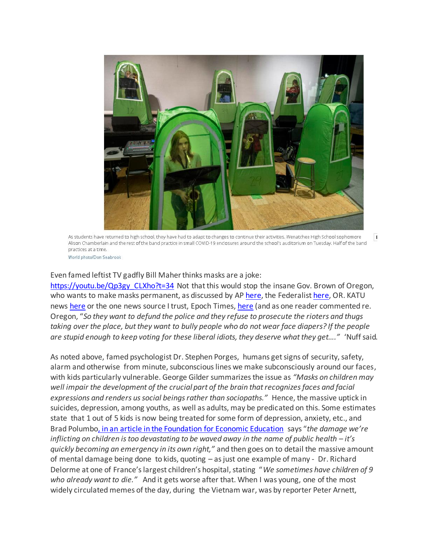

As students have returned to high school, they have had to adapt to changes to continue their activities. Wenatchee High School sophomore  $\mathbf{F}$ Alison Chamberlain and the rest of the band practice in small COVID-19 enclosures around the school's auditorium on Tuesday. Half of the band practices at a time.

World photo/Don Seabrook

#### Even famed leftist TV gadfly Bill Maher thinks masks are a joke:

[https://youtu.be/Qp3gy\\_CLXho?t=34](https://youtu.be/Qp3gy_CLXho?t=34) Not that this would stop the insane Gov. Brown of Oregon, who wants to make masks permanent, as discussed by AP [here,](https://apnews.com/article/coronavirus-pandemic-oregon-6f7f919d27644d02c330da5a8648af95) the Federalis[t here,](https://thefederalist.com/2021/03/18/oregon-health-officials-propose-making-mask-mandates-permanent/) OR. KATU news [here](https://katu.com/news/local/as-mask-mandates-end-oregon-osha-proposes-permanent-rule) or the one news source I trust, Epoch Times[, here](https://www.theepochtimes.com/oregon-mulls-making-mask-mandate-permanent_3781746.html) (and as one reader commented re. Oregon, "*So they want to defund the police and they refuse to prosecute the rioters and thugs taking over the place, but they want to bully people who do not wear face diapers? If the people are stupid enough to keep voting for these liberal idiots, they deserve what they get…."* 'Nuff said.

As noted above, famed psychologist Dr. Stephen Porges, humans get signs of security, safety, alarm and otherwise from minute, subconscious lines we make subconsciously around our faces, with kids particularly vulnerable. George Gilder summarizes the issue as *"Masks on children may well impair the development of the crucial part of the brain that recognizes faces and facial expressions and renders us social beings rather than sociopaths."* Hence, the massive uptick in suicides, depression, among youths, as well as adults, may be predicated on this. Some estimates state that 1 out of 5 kids is now being treated for some form of depression, anxiety, etc., and Brad Polumb[o, in an article in the Foundation for Economic Education](https://fee.org/articles/child-suicide-is-becoming-an-international-epidemic-amid-restricted-pandemic-life-doctors-warn/) says "*the damage we're inflicting on children is too devastating to be waved away in the name of public health – it's quickly becoming an emergency in its own right,"* and then goes on to detail the massive amount of mental damage being done to kids, quoting – as just one example of many - Dr. Richard Delorme at one of France's largest children's hospital, stating "*We sometimes have children of 9 who already want to die."* And it gets worse after that. When I was young, one of the most widely circulated memes of the day, during the Vietnam war, was by reporter Peter Arnett,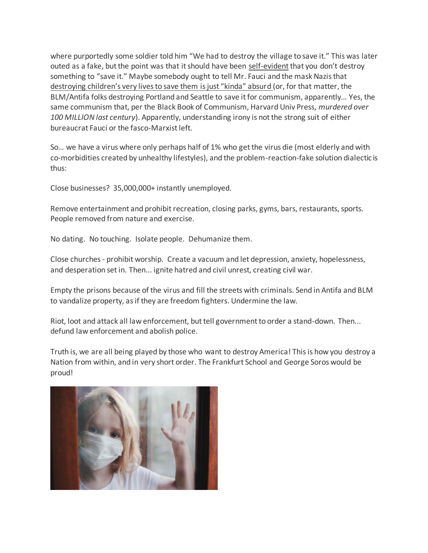where purportedly some soldier told him "We had to destroy the village to save it." This was later outed as a fake, but the point was that it should have been self-evident that you don't destroy something to "save it." Maybe somebody ought to tell Mr. Fauci and the mask Nazis that destroying children's very lives to save them is just "kinda" absurd (or, for that matter, the BLM/Antifa folks destroying Portland and Seattle to save it for communism, apparently… Yes, the same communism that, per the Black Book of Communism, Harvard Univ Press, *murdered over 100 MILLION last century*). Apparently, understanding irony is not the strong suit of either bureaucrat Fauci or the fasco-Marxist left.

So… we have a virus where only perhaps half of 1% who get the virus die (most elderly and with co-morbidities created by unhealthy lifestyles), and the problem-reaction-fake solution dialectic is thus:

Close businesses? 35,000,000+ instantly unemployed.

Remove entertainment and prohibit recreation, closing parks, gyms, bars, restaurants, sports. People removed from nature and exercise.

No dating. No touching. Isolate people. Dehumanize them.

Close churches - prohibit worship. Create a vacuum and let depression, anxiety, hopelessness, and desperation set in. Then... ignite hatred and civil unrest, creating civil war.

Empty the prisons because of the virus and fill the streets with criminals. Send in Antifa and BLM to vandalize property, as if they are freedom fighters. Undermine the law.

Riot, loot and attack all law enforcement, but tell government to order a stand-down. Then... defund law enforcement and abolish police.

Truth is, we are all being played by those who want to destroy America! This is how you destroy a Nation from within, and in very short order. The Frankfurt School and George Soros would be proud!